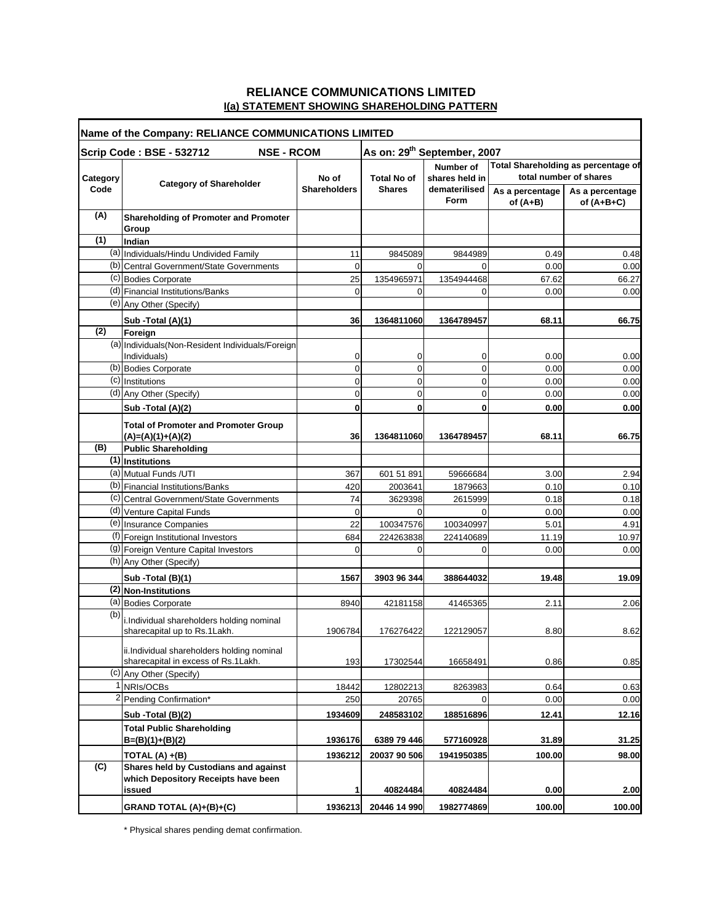## **RELIANCE COMMUNICATIONS LIMITED I(a) STATEMENT SHOWING SHAREHOLDING PATTERN**

| Name of the Company: RELIANCE COMMUNICATIONS LIMITED                                     |                                                                    |                              |                    |                                                                    |                                                               |                                 |
|------------------------------------------------------------------------------------------|--------------------------------------------------------------------|------------------------------|--------------------|--------------------------------------------------------------------|---------------------------------------------------------------|---------------------------------|
| As on: 29 <sup>th</sup> September, 2007<br>Scrip Code: BSE - 532712<br><b>NSE - RCOM</b> |                                                                    |                              |                    |                                                                    |                                                               |                                 |
| Category                                                                                 | <b>Category of Shareholder</b>                                     | No of<br><b>Shareholders</b> | <b>Total No of</b> | <b>Number of</b><br>shares held in<br>dematerilised<br><b>Form</b> | Total Shareholding as percentage of<br>total number of shares |                                 |
| Code                                                                                     |                                                                    |                              | <b>Shares</b>      |                                                                    | As a percentage<br>of $(A+B)$                                 | As a percentage<br>of $(A+B+C)$ |
| (A)                                                                                      | <b>Shareholding of Promoter and Promoter</b><br>Group              |                              |                    |                                                                    |                                                               |                                 |
| (1)                                                                                      | Indian                                                             |                              |                    |                                                                    |                                                               |                                 |
|                                                                                          | (a) Individuals/Hindu Undivided Family                             | 11                           | 9845089            | 9844989                                                            | 0.49                                                          | 0.48                            |
|                                                                                          | (b) Central Government/State Governments                           | 0                            | $\Omega$           |                                                                    | 0.00                                                          | 0.00                            |
|                                                                                          | (c) Bodies Corporate                                               | 25                           | 1354965971         | 1354944468                                                         | 67.62                                                         | 66.27                           |
|                                                                                          | (d) Financial Institutions/Banks                                   | 0                            | 0                  | $\Omega$                                                           | 0.00                                                          | 0.00                            |
|                                                                                          | (e) Any Other (Specify)                                            |                              |                    |                                                                    |                                                               |                                 |
|                                                                                          | Sub -Total (A)(1)                                                  | 36                           | 1364811060         | 1364789457                                                         | 68.11                                                         | 66.75                           |
| (2)                                                                                      | Foreign                                                            |                              |                    |                                                                    |                                                               |                                 |
|                                                                                          | (a) Individuals (Non-Resident Individuals/Foreign                  |                              |                    |                                                                    |                                                               |                                 |
|                                                                                          | Individuals)                                                       | 0                            | 0                  | 0                                                                  | 0.00                                                          | 0.00                            |
|                                                                                          | $\overline{(b)}$ Bodies Corporate                                  | 0                            | 0                  | 0                                                                  | 0.00                                                          | 0.00                            |
|                                                                                          | (c) Institutions                                                   | 0                            | 0                  | 0                                                                  | 0.00                                                          | 0.00                            |
|                                                                                          | (d) Any Other (Specify)                                            | 0                            | 0                  | 0                                                                  | 0.00                                                          | 0.00                            |
|                                                                                          | Sub - Total (A)(2)                                                 | 0                            | 0                  | 0                                                                  | 0.00                                                          | 0.00                            |
|                                                                                          | <b>Total of Promoter and Promoter Group</b><br>$(A)=(A)(1)+(A)(2)$ | 36                           | 1364811060         | 1364789457                                                         | 68.11                                                         | 66.75                           |
| (B)                                                                                      | <b>Public Shareholding</b>                                         |                              |                    |                                                                    |                                                               |                                 |
|                                                                                          | (1) Institutions                                                   |                              |                    |                                                                    |                                                               |                                 |
|                                                                                          | (a) Mutual Funds / UTI                                             | 367                          | 601 51 891         | 59666684                                                           | 3.00                                                          | 2.94                            |
|                                                                                          | (b) Financial Institutions/Banks                                   | 420                          | 2003641            | 1879663                                                            | 0.10                                                          | 0.10                            |
|                                                                                          | (c) Central Government/State Governments                           | 74                           | 3629398            | 2615999                                                            | 0.18                                                          | 0.18                            |
|                                                                                          | (d) Venture Capital Funds                                          | 0                            | 0                  |                                                                    | 0.00                                                          | 0.00                            |
|                                                                                          | (e) Insurance Companies                                            | 22                           | 100347576          | 100340997                                                          | 5.01                                                          | 4.91                            |
|                                                                                          | (f) Foreign Institutional Investors                                | 684                          | 224263838          | 224140689                                                          | 11.19                                                         | 10.97                           |
|                                                                                          | (g) Foreign Venture Capital Investors                              | $\Omega$                     | 0                  | $\Omega$                                                           | 0.00                                                          | 0.00                            |
|                                                                                          | (h) Any Other (Specify)                                            |                              |                    |                                                                    |                                                               |                                 |
|                                                                                          | Sub -Total (B)(1)                                                  | 1567                         | 3903 96 344        | 388644032                                                          | 19.48                                                         | 19.09                           |
|                                                                                          | (2) Non-Institutions                                               |                              |                    |                                                                    |                                                               |                                 |
|                                                                                          | (a) Bodies Corporate                                               | 8940                         | 42181158           | 41465365                                                           | 2.11                                                          | 2.06                            |
| (b)                                                                                      | i.Individual shareholders holding nominal                          |                              |                    |                                                                    |                                                               |                                 |
|                                                                                          | sharecapital up to Rs.1Lakh.                                       | 1906784                      | 176276422          | 122129057                                                          | 8.80                                                          | 8.62                            |
|                                                                                          | ii.Individual shareholders holding nominal                         |                              |                    |                                                                    |                                                               |                                 |
|                                                                                          | sharecapital in excess of Rs.1Lakh.                                | 193                          | 17302544           | 16658491                                                           | 0.86                                                          | 0.85                            |
|                                                                                          | (c) Any Other (Specify)                                            |                              |                    |                                                                    |                                                               |                                 |
|                                                                                          | <sup>1</sup> NRIs/OCBs                                             | 18442                        | 12802213           | 8263983                                                            | 0.64                                                          | 0.63                            |
|                                                                                          | 2 Pending Confirmation*                                            | 250                          | 20765              | 0                                                                  | 0.00                                                          | 0.00                            |
|                                                                                          | Sub -Total (B)(2)                                                  | 1934609                      | 248583102          | 188516896                                                          | 12.41                                                         | 12.16                           |
|                                                                                          | <b>Total Public Shareholding</b><br>$B=(B)(1)+(B)(2)$              | 1936176                      | 6389 79 446        | 577160928                                                          | 31.89                                                         | 31.25                           |
|                                                                                          | TOTAL $(A) + (B)$                                                  | 1936212                      | 20037 90 506       | 1941950385                                                         | 100.00                                                        | 98.00                           |
| (C)                                                                                      | Shares held by Custodians and against                              |                              |                    |                                                                    |                                                               |                                 |
|                                                                                          | which Depository Receipts have been                                |                              |                    |                                                                    |                                                               |                                 |
|                                                                                          | issued                                                             | 1                            | 40824484           | 40824484                                                           | 0.00                                                          | 2.00                            |
|                                                                                          | GRAND TOTAL (A)+(B)+(C)                                            | 1936213                      | 20446 14 990       | 1982774869                                                         | 100.00                                                        | 100.00                          |

\* Physical shares pending demat confirmation.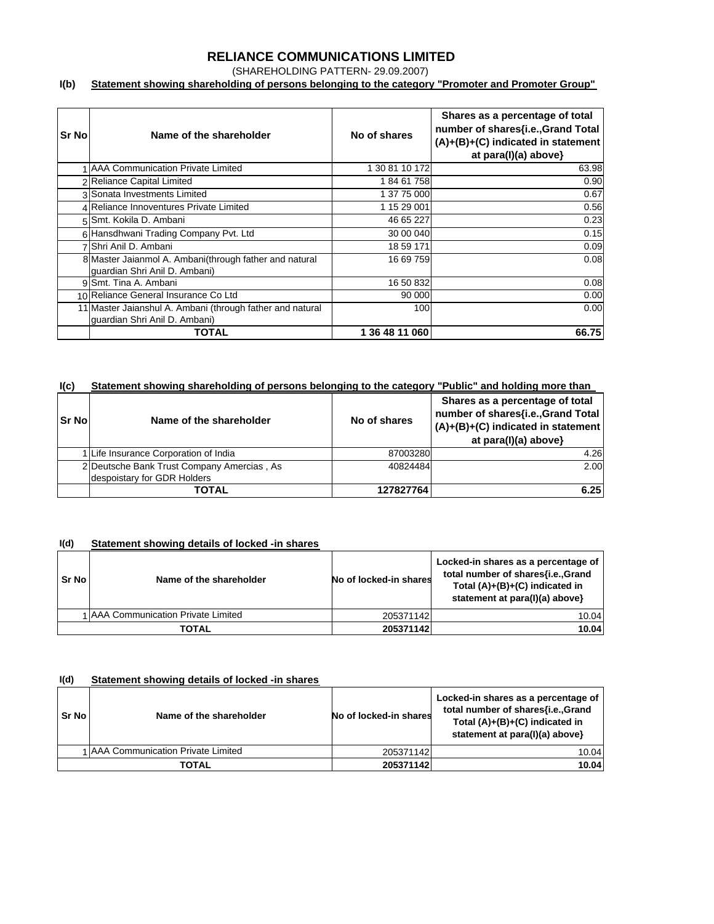## **RELIANCE COMMUNICATIONS LIMITED**

(SHAREHOLDING PATTERN- 29.09.2007)

#### **I(b) Statement showing shareholding of persons belonging to the category "Promoter and Promoter Group"**

| Sr No | Name of the shareholder                                                                    | No of shares   | Shares as a percentage of total<br>number of shares{i.e., Grand Total<br>$(A)+(B)+(C)$ indicated in statement<br>at para(I)(a) above} |
|-------|--------------------------------------------------------------------------------------------|----------------|---------------------------------------------------------------------------------------------------------------------------------------|
|       | 1 AAA Communication Private Limited                                                        | 1 30 81 10 172 | 63.98                                                                                                                                 |
|       | 2 Reliance Capital Limited                                                                 | 18461758       | 0.90                                                                                                                                  |
|       | 3 Sonata Investments Limited                                                               | 1 37 75 000    | 0.67                                                                                                                                  |
|       | 4 Reliance Innoventures Private Limited                                                    | 1 15 29 001    | 0.56                                                                                                                                  |
|       | 5 Smt. Kokila D. Ambani                                                                    | 46 65 227      | 0.23                                                                                                                                  |
|       | 6 Hansdhwani Trading Company Pvt. Ltd                                                      | 30 00 040      | 0.15                                                                                                                                  |
|       | 7 Shri Anil D. Ambani                                                                      | 18 59 171      | 0.09                                                                                                                                  |
|       | 8 Master Jaianmol A. Ambani(through father and natural<br>guardian Shri Anil D. Ambani)    | 16 69 759      | 0.08                                                                                                                                  |
|       | 9 Smt. Tina A. Ambani                                                                      | 16 50 832      | 0.08                                                                                                                                  |
|       | 10 Reliance General Insurance Co Ltd                                                       | 90 000         | 0.00                                                                                                                                  |
|       | 11 Master Jaianshul A. Ambani (through father and natural<br>quardian Shri Anil D. Ambani) | 100            | 0.00                                                                                                                                  |
|       | TOTAL                                                                                      | 1 36 48 11 060 | 66.75                                                                                                                                 |

#### **I(c) Statement showing shareholding of persons belonging to the category "Public" and holding more than**

| <b>Sr No</b> | Name of the shareholder                    | No of shares | Shares as a percentage of total<br>number of shares{i.e., Grand Total<br>(A)+(B)+(C) indicated in statement<br>at para(I)(a) above} |  |
|--------------|--------------------------------------------|--------------|-------------------------------------------------------------------------------------------------------------------------------------|--|
|              | 1 Life Insurance Corporation of India      | 87003280     | 4.26                                                                                                                                |  |
|              | 2 Deutsche Bank Trust Company Amercias, As | 40824484     | 2.00                                                                                                                                |  |
|              | despoistary for GDR Holders                |              |                                                                                                                                     |  |
|              | TOTAL                                      | 127827764    | 6.25                                                                                                                                |  |

#### **I(d) Statement showing details of locked -in shares**

| Sr No | Name of the shareholder             | No of locked-in shares | Locked-in shares as a percentage of<br>total number of shares{i.e.,Grand<br>Total $(A)+(B)+(C)$ indicated in<br>statement at para(I)(a) above} |
|-------|-------------------------------------|------------------------|------------------------------------------------------------------------------------------------------------------------------------------------|
|       | 1 AAA Communication Private Limited | 205371142              | 10.04                                                                                                                                          |
|       | TOTAL                               | 205371142              | 10.04                                                                                                                                          |

#### **I(d) Statement showing details of locked -in shares**

| Sr No | Name of the shareholder             | No of locked-in shares | Locked-in shares as a percentage of<br>total number of shares{i.e.,Grand<br>Total $(A)+(B)+(C)$ indicated in<br>statement at para(I)(a) above} |
|-------|-------------------------------------|------------------------|------------------------------------------------------------------------------------------------------------------------------------------------|
|       | 1 AAA Communication Private Limited | 205371142              | 10.04                                                                                                                                          |
|       | <b>TOTAL</b>                        | 205371142              | 10.04                                                                                                                                          |